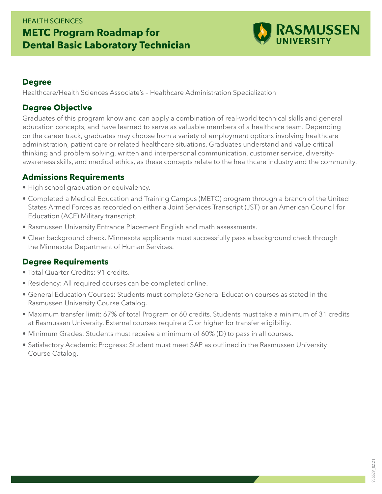# HEALTH SCIENCES **METC Program Roadmap for Dental Basic Laboratory Technician**



#### **Degree**

Healthcare/Health Sciences Associate's – Healthcare Administration Specialization

## **Degree Objective**

Graduates of this program know and can apply a combination of real-world technical skills and general education concepts, and have learned to serve as valuable members of a healthcare team. Depending on the career track, graduates may choose from a variety of employment options involving healthcare administration, patient care or related healthcare situations. Graduates understand and value critical thinking and problem solving, written and interpersonal communication, customer service, diversityawareness skills, and medical ethics, as these concepts relate to the healthcare industry and the community.

### **Admissions Requirements**

- High school graduation or equivalency.
- Completed a Medical Education and Training Campus (METC) program through a branch of the United States Armed Forces as recorded on either a Joint Services Transcript (JST) or an American Council for Education (ACE) Military transcript.
- Rasmussen University Entrance Placement English and math assessments.
- Clear background check. Minnesota applicants must successfully pass a background check through the Minnesota Department of Human Services.

## **Degree Requirements**

- Total Quarter Credits: 91 credits.
- Residency: All required courses can be completed online.
- General Education Courses: Students must complete General Education courses as stated in the Rasmussen University Course Catalog.
- Maximum transfer limit: 67% of total Program or 60 credits. Students must take a minimum of 31 credits at Rasmussen University. External courses require a C or higher for transfer eligibility.
- Minimum Grades: Students must receive a minimum of 60% (D) to pass in all courses.
- Satisfactory Academic Progress: Student must meet SAP as outlined in the Rasmussen University Course Catalog.